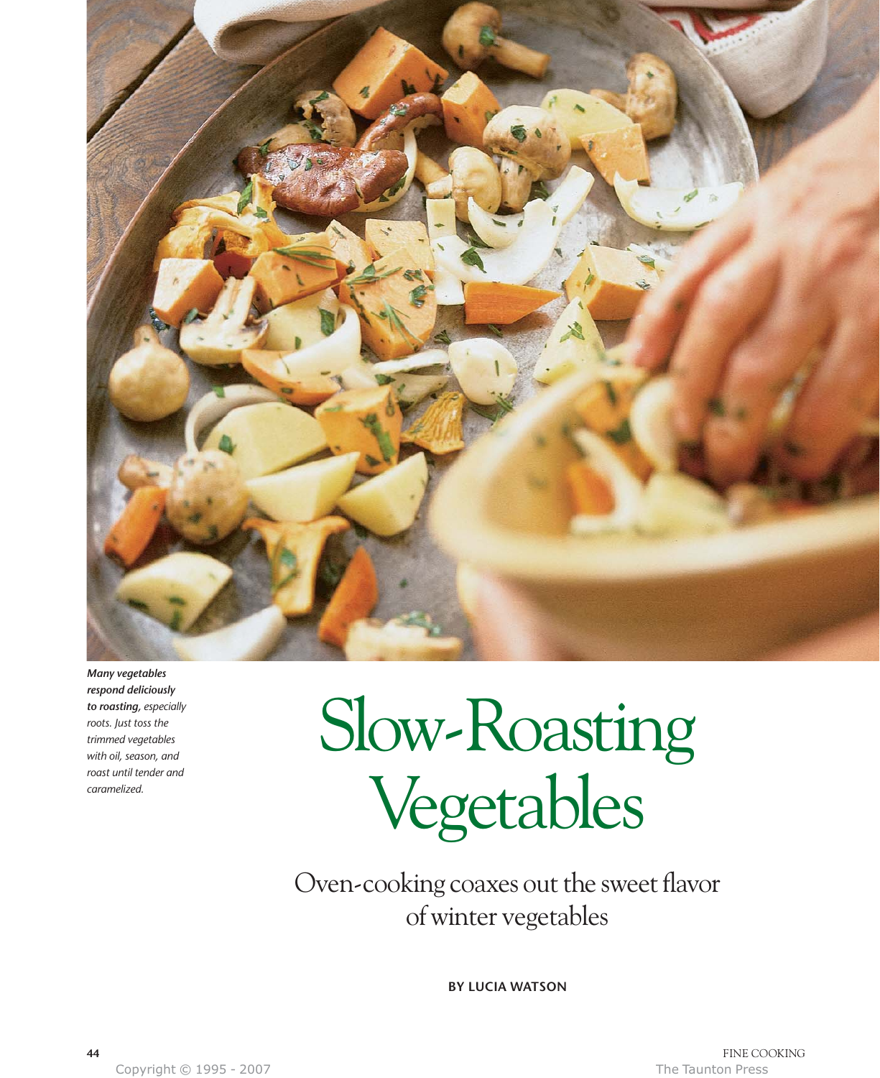

*Many vegetables respond deliciously to roasting, especially roots. Just toss the trimmed vegetables with oil, season, and roast until tender and caramelized.*

# Slow-Roasting Vegetables

Oven-cooking coaxes out the sweet flavor of winter vegetables

**BY LUCIA WATSON**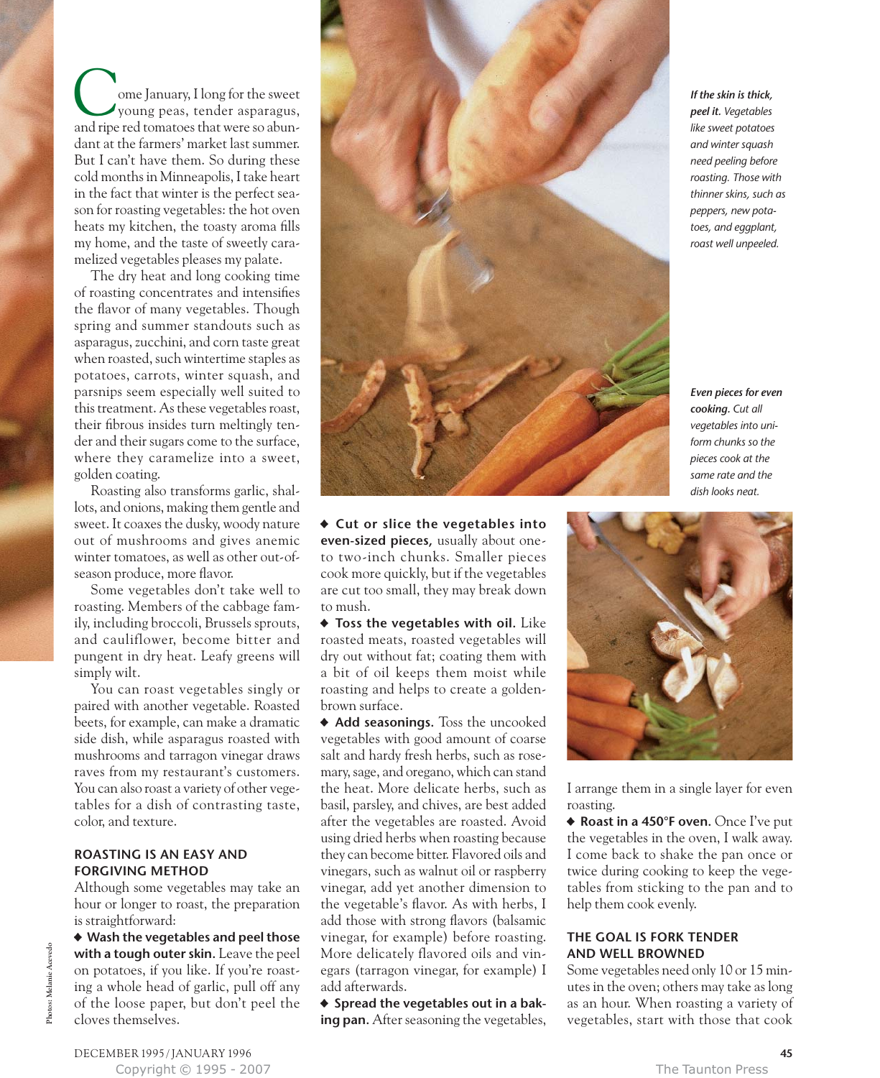ome January, I long for the sweet young peas, tender asparagus, Come January, I long for the sweet<br>young peas, tender asparagus,<br>and ripe red tomatoes that were so abundant at the farmers' market last summer. But I can't have them. So during these cold months in Minneapolis, I take heart in the fact that winter is the perfect season for roasting vegetables: the hot oven heats my kitchen, the toasty aroma fills my home, and the taste of sweetly caramelized vegetables pleases my palate.

The dry heat and long cooking time of roasting concentrates and intensifies the flavor of many vegetables. Though spring and summer standouts such as asparagus, zucchini, and corn taste great when roasted, such wintertime staples as potatoes, carrots, winter squash, and parsnips seem especially well suited to this treatment. As these vegetables roast, their fibrous insides turn meltingly tender and their sugars come to the surface, where they caramelize into a sweet, golden coating.

Roasting also transforms garlic, shallots, and onions, making them gentle and sweet. It coaxes the dusky, woody nature out of mushrooms and gives anemic winter tomatoes, as well as other out-ofseason produce, more flavor.

Some vegetables don't take well to roasting. Members of the cabbage family, including broccoli, Brussels sprouts, and cauliflower, become bitter and pungent in dry heat. Leafy greens will simply wilt.

You can roast vegetables singly or paired with another vegetable. Roasted beets, for example, can make a dramatic side dish, while asparagus roasted with mushrooms and tarragon vinegar draws raves from my restaurant's customers. You can also roast a variety of other vegetables for a dish of contrasting taste, color, and texture.

#### **ROASTING IS AN EASY AND FORGIVING METHOD**

Although some vegetables may take an hour or longer to roast, the preparation is straightforward:

• **Wash the vegetables and peel those with a tough outer skin.** Leave the peel on potatoes, if you like. If you're roasting a whole head of garlic, pull off any of the loose paper, but don't peel the cloves themselves.



*If the skin is thick, peel it. Vegetables like sweet potatoes and winter squash need peeling before roasting. Those with thinner skins, such as peppers, new potatoes, and eggplant, roast well unpeeled.*

*Even pieces for even cooking. Cut all vegetables into uniform chunks so the pieces cook at the same rate and the dish looks neat.*

• **Cut or slice the vegetables into even-sized pieces,** usually about oneto two-inch chunks. Smaller pieces cook more quickly, but if the vegetables are cut too small, they may break down to mush.

• **Toss the vegetables with oil.** Like roasted meats, roasted vegetables will dry out without fat; coating them with a bit of oil keeps them moist while roasting and helps to create a goldenbrown surface.

• **Add seasonings.** Toss the uncooked vegetables with good amount of coarse salt and hardy fresh herbs, such as rosemary, sage, and oregano, which can stand the heat. More delicate herbs, such as basil, parsley, and chives, are best added after the vegetables are roasted. Avoid using dried herbs when roasting because they can become bitter. Flavored oils and vinegars, such as walnut oil or raspberry vinegar, add yet another dimension to the vegetable's flavor. As with herbs, I add those with strong flavors (balsamic vinegar, for example) before roasting. More delicately flavored oils and vinegars (tarragon vinegar, for example) I add afterwards.

• **Spread the vegetables out in a baking pan.** After seasoning the vegetables,



I arrange them in a single layer for even roasting.

• **Roast in a 450°F oven.** Once I've put the vegetables in the oven, I walk away. I come back to shake the pan once or twice during cooking to keep the vegetables from sticking to the pan and to help them cook evenly.

#### **THE GOAL IS FORK TENDER AND WELL BROWNED**

Some vegetables need only 10 or 15 minutes in the oven; others may take as long as an hour. When roasting a variety of vegetables, start with those that cook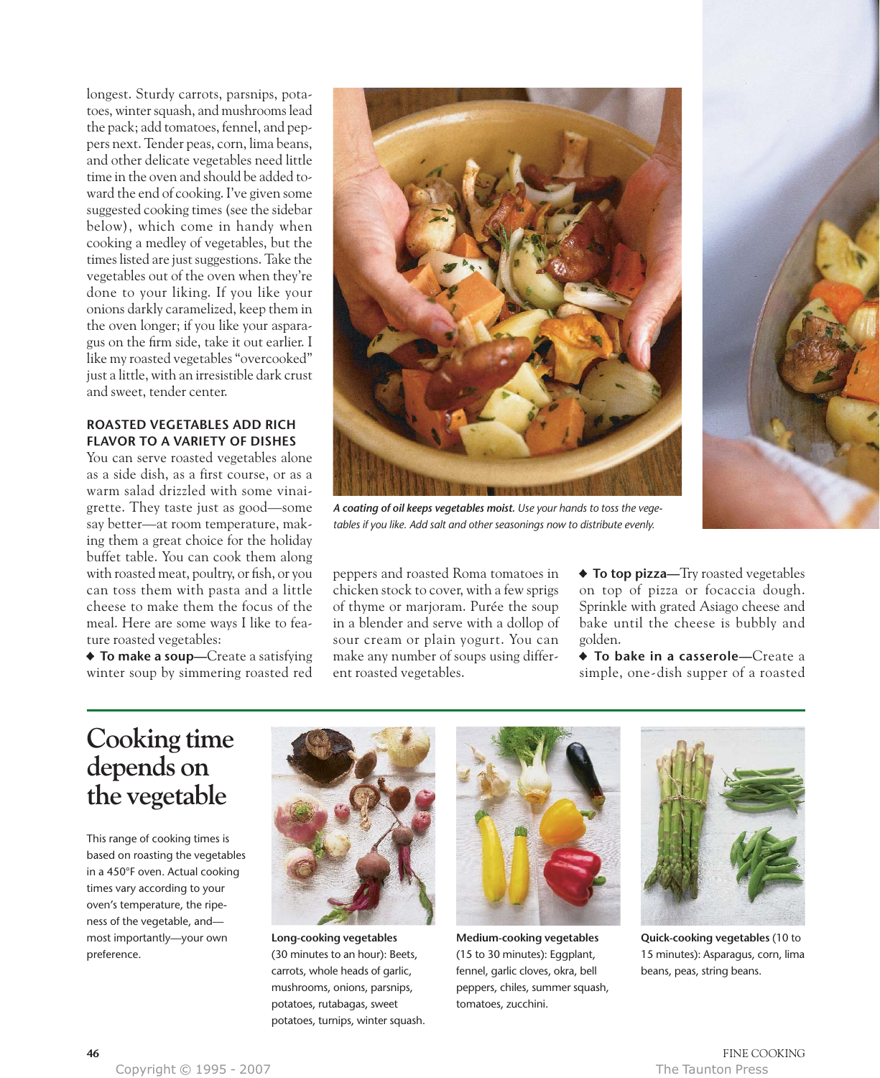longest. Sturdy carrots, parsnips, potatoes, winter squash, and mushrooms lead the pack; add tomatoes, fennel, and peppers next. Tender peas, corn, lima beans, and other delicate vegetables need little time in the oven and should be added toward the end of cooking. I've given some suggested cooking times (see the sidebar below), which come in handy when cooking a medley of vegetables, but the times listed are just suggestions. Take the vegetables out of the oven when they're done to your liking. If you like your onions darkly caramelized, keep them in the oven longer; if you like your asparagus on the firm side, take it out earlier. I like my roasted vegetables "overcooked" just a little, with an irresistible dark crust and sweet, tender center.

#### **ROASTED VEGETABLES ADD RICH FLAVOR TO A VARIETY OF DISHES**

You can serve roasted vegetables alone as a side dish, as a first course, or as a warm salad drizzled with some vinaigrette. They taste just as good—some say better—at room temperature, making them a great choice for the holiday buffet table. You can cook them along with roasted meat, poultry, or fish, or you can toss them with pasta and a little cheese to make them the focus of the meal. Here are some ways I like to feature roasted vegetables:

• **To make a soup—**Create a satisfying winter soup by simmering roasted red



*A coating of oil keeps vegetables moist. Use your hands to toss the vegetables if you like. Add salt and other seasonings now to distribute evenly.*

peppers and roasted Roma tomatoes in chicken stock to cover, with a few sprigs of thyme or marjoram. Purée the soup in a blender and serve with a dollop of sour cream or plain yogurt. You can make any number of soups using different roasted vegetables.

• **To top pizza—**Try roasted vegetables on top of pizza or focaccia dough. Sprinkle with grated Asiago cheese and bake until the cheese is bubbly and golden.

• **To bake in a casserole—**Create a simple, one-dish supper of a roasted

## **Cooking time depends on the vegetable**

This range of cooking times is based on roasting the vegetables in a 450°F oven. Actual cooking times vary according to your oven's temperature, the ripeness of the vegetable, and most importantly—your own preference.



**Long-cooking vegetables** (30 minutes to an hour): Beets, carrots, whole heads of garlic, mushrooms, onions, parsnips, potatoes, rutabagas, sweet potatoes, turnips, winter squash.



**Medium-cooking vegetables** (15 to 30 minutes): Eggplant, fennel, garlic cloves, okra, bell peppers, chiles, summer squash, tomatoes, zucchini.



**Quick-cooking vegetables** (10 to 15 minutes): Asparagus, corn, lima beans, peas, string beans.